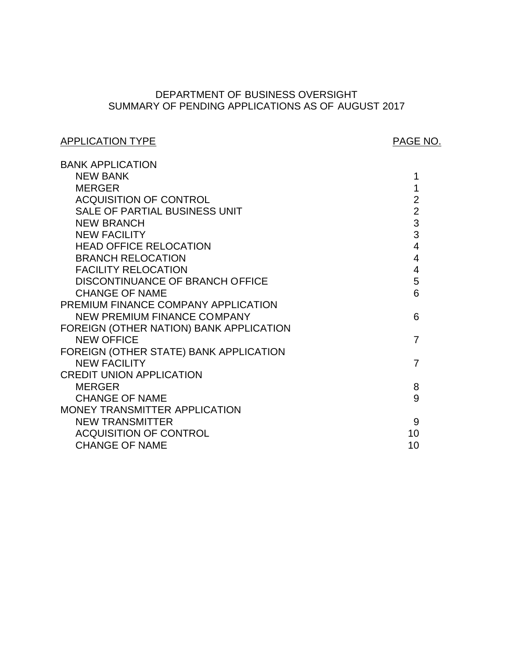# SUMMARY OF PENDING APPLICATIONS AS OF AUGUST 2017 DEPARTMENT OF BUSINESS OVERSIGHT

# APPLICATION TYPE APPLICATION TYPE

| <b>BANK APPLICATION</b>                 |                |
|-----------------------------------------|----------------|
| <b>NEW BANK</b>                         | 1              |
| <b>MERGER</b>                           | 1              |
| <b>ACQUISITION OF CONTROL</b>           | $\overline{2}$ |
| SALE OF PARTIAL BUSINESS UNIT           | $\overline{2}$ |
| <b>NEW BRANCH</b>                       | 3              |
| <b>NEW FACILITY</b>                     | 3              |
| <b>HEAD OFFICE RELOCATION</b>           | $\overline{4}$ |
| <b>BRANCH RELOCATION</b>                | $\overline{4}$ |
| <b>FACILITY RELOCATION</b>              | $\overline{4}$ |
| DISCONTINUANCE OF BRANCH OFFICE         | 5              |
| <b>CHANGE OF NAME</b>                   | 6              |
| PREMIUM FINANCE COMPANY APPLICATION     |                |
| <b>NEW PREMIUM FINANCE COMPANY</b>      | 6              |
| FOREIGN (OTHER NATION) BANK APPLICATION |                |
| <b>NEW OFFICE</b>                       | 7              |
| FOREIGN (OTHER STATE) BANK APPLICATION  |                |
| <b>NEW FACILITY</b>                     | 7              |
| <b>CREDIT UNION APPLICATION</b>         |                |
| <b>MERGER</b>                           | 8              |
| <b>CHANGE OF NAME</b>                   | 9              |
| MONEY TRANSMITTER APPLICATION           |                |
| <b>NEW TRANSMITTER</b>                  | 9              |
| <b>ACQUISITION OF CONTROL</b>           | 10             |
| <b>CHANGE OF NAME</b>                   | 10             |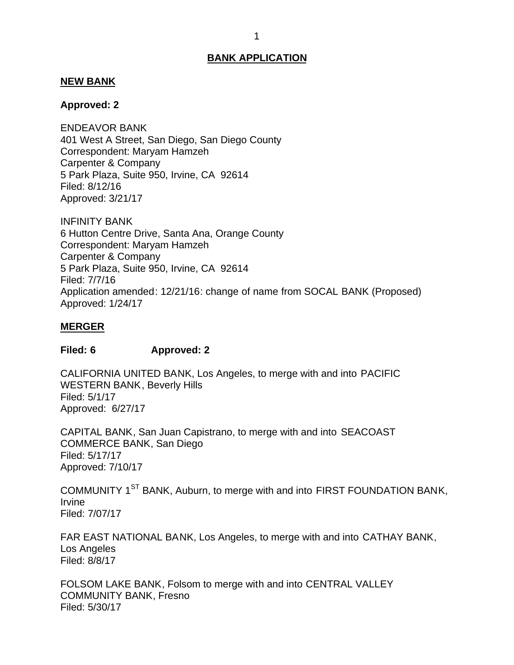#### <span id="page-1-0"></span>**NEW BANK**

#### **Approved: 2**

 401 West A Street, San Diego, San Diego County Correspondent: Maryam Hamzeh Carpenter & Company 5 Park Plaza, Suite 950, Irvine, CA 92614 ENDEAVOR BANK Filed: 8/12/16 Approved: 3/21/17

 6 Hutton Centre Drive, Santa Ana, Orange County Correspondent: Maryam Hamzeh Carpenter & Company 5 Park Plaza, Suite 950, Irvine, CA 92614 INFINITY BANK Filed: 7/7/16 Application amended: 12/21/16: change of name from SOCAL BANK (Proposed) Approved: 1/24/17

#### **MERGER**

## **Filed: 6 Approved: 2**

 CALIFORNIA UNITED BANK, Los Angeles, to merge with and into PACIFIC WESTERN BANK, Beverly Hills Approved: 6/27/17 Filed: 5/1/17

 CAPITAL BANK, San Juan Capistrano, to merge with and into SEACOAST COMMERCE BANK, San Diego Filed: 5/17/17 Approved: 7/10/17

COMMUNITY 1<sup>ST</sup> BANK, Auburn, to merge with and into FIRST FOUNDATION BANK, Irvine Filed: 7/07/17

 FAR EAST NATIONAL BANK, Los Angeles, to merge with and into CATHAY BANK, Los Angeles Filed: 8/8/17

 FOLSOM LAKE BANK, Folsom to merge with and into CENTRAL VALLEY COMMUNITY BANK, Fresno Filed: 5/30/17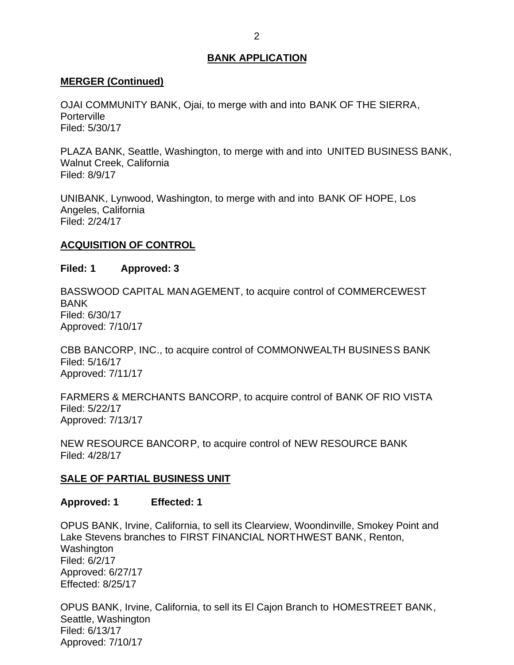## <span id="page-2-0"></span>**MERGER (Continued)**

 OJAI COMMUNITY BANK, Ojai, to merge with and into BANK OF THE SIERRA, **Porterville** Filed: 5/30/17

 PLAZA BANK, Seattle, Washington, to merge with and into UNITED BUSINESS BANK, Walnut Creek, California Filed: 8/9/17

 UNIBANK, Lynwood, Washington, to merge with and into BANK OF HOPE, Los Angeles, California Filed: 2/24/17

# **ACQUISITION OF CONTROL**

## **Filed: 1 Approved: 3**

 BASSWOOD CAPITAL MANAGEMENT, to acquire control of COMMERCEWEST BANK Filed: 6/30/17 Approved: 7/10/17

 CBB BANCORP, INC., to acquire control of COMMONWEALTH BUSINESS BANK Filed: 5/16/17 Approved: 7/11/17

 FARMERS & MERCHANTS BANCORP, to acquire control of BANK OF RIO VISTA Filed: 5/22/17 Approved: 7/13/17

 NEW RESOURCE BANCORP, to acquire control of NEW RESOURCE BANK Filed: 4/28/17

# **SALE OF PARTIAL BUSINESS UNIT**

## **Approved: 1 Effected: 1**

 OPUS BANK, Irvine, California, to sell its Clearview, Woondinville, Smokey Point and Lake Stevens branches to FIRST FINANCIAL NORTHWEST BANK, Renton, Washington Filed: 6/2/17 Approved: 6/27/17 Effected: 8/25/17

 OPUS BANK, Irvine, California, to sell its El Cajon Branch to HOMESTREET BANK, Seattle, Washington Filed: 6/13/17 Approved: 7/10/17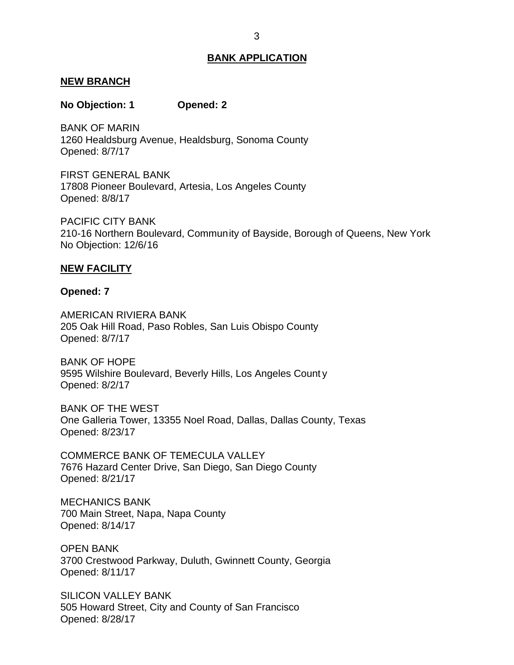#### <span id="page-3-0"></span>**NEW BRANCH**

#### **No Objection: 1 Opened: 2**

 1260 Healdsburg Avenue, Healdsburg, Sonoma County BANK OF MARIN Opened: 8/7/17

 FIRST GENERAL BANK 17808 Pioneer Boulevard, Artesia, Los Angeles County Opened: 8/8/17

 210-16 Northern Boulevard, Community of Bayside, Borough of Queens, New York No Objection: 12/6/16 PACIFIC CITY BANK

#### **NEW FACILITY**

#### **Opened: 7**

 205 Oak Hill Road, Paso Robles, San Luis Obispo County AMERICAN RIVIERA BANK Opened: 8/7/17

 9595 Wilshire Boulevard, Beverly Hills, Los Angeles Count y BANK OF HOPE Opened: 8/2/17

 BANK OF THE WEST One Galleria Tower, 13355 Noel Road, Dallas, Dallas County, Texas Opened: 8/23/17

 COMMERCE BANK OF TEMECULA VALLEY 7676 Hazard Center Drive, San Diego, San Diego County Opened: 8/21/17

 700 Main Street, Napa, Napa County MECHANICS BANK Opened: 8/14/17

 3700 Crestwood Parkway, Duluth, Gwinnett County, Georgia OPEN BANK Opened: 8/11/17

 505 Howard Street, City and County of San Francisco SILICON VALLEY BANK Opened: 8/28/17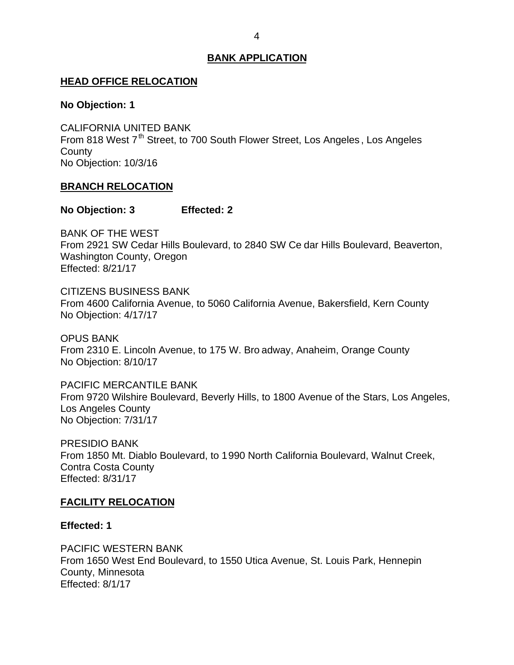#### <span id="page-4-0"></span>**HEAD OFFICE RELOCATION**

#### **No Objection: 1**

From 818 West 7<sup>th</sup> Street, to 700 South Flower Street, Los Angeles, Los Angeles No Objection: 10/3/16 CALIFORNIA UNITED BANK **County** 

## **BRANCH RELOCATION**

## **No Objection: 3 Effected: 2**

 BANK OF THE WEST From 2921 SW Cedar Hills Boulevard, to 2840 SW Ce dar Hills Boulevard, Beaverton, Washington County, Oregon Effected: 8/21/17

 From 4600 California Avenue, to 5060 California Avenue, Bakersfield, Kern County No Objection: 4/17/17 CITIZENS BUSINESS BANK

 From 2310 E. Lincoln Avenue, to 175 W. Bro adway, Anaheim, Orange County No Objection: 8/10/17 OPUS BANK

 From 9720 Wilshire Boulevard, Beverly Hills, to 1800 Avenue of the Stars, Los Angeles, No Objection: 7/31/17 PACIFIC MERCANTILE BANK Los Angeles County

 From 1850 Mt. Diablo Boulevard, to 1990 North California Boulevard, Walnut Creek, Contra Costa County PRESIDIO BANK Effected: 8/31/17

# **FACILITY RELOCATION**

## **Effected: 1**

 From 1650 West End Boulevard, to 1550 Utica Avenue, St. Louis Park, Hennepin PACIFIC WESTERN BANK County, Minnesota Effected: 8/1/17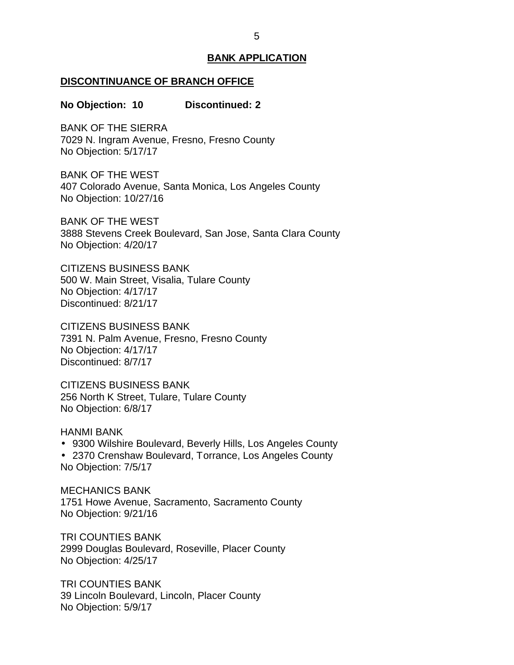#### <span id="page-5-0"></span>**DISCONTINUANCE OF BRANCH OFFICE**

#### **No Objection: 10 Discontinued: 2**

 BANK OF THE SIERRA 7029 N. Ingram Avenue, Fresno, Fresno County No Objection: 5/17/17

 BANK OF THE WEST 407 Colorado Avenue, Santa Monica, Los Angeles County No Objection: 10/27/16

 BANK OF THE WEST 3888 Stevens Creek Boulevard, San Jose, Santa Clara County No Objection: 4/20/17

 500 W. Main Street, Visalia, Tulare County No Objection: 4/17/17 CITIZENS BUSINESS BANK Discontinued: 8/21/17

 7391 N. Palm Avenue, Fresno, Fresno County No Objection: 4/17/17 CITIZENS BUSINESS BANK Discontinued: 8/7/17

 256 North K Street, Tulare, Tulare County No Objection: 6/8/17 CITIZENS BUSINESS BANK

HANMI BANK

 9300 Wilshire Boulevard, Beverly Hills, Los Angeles County 2370 Crenshaw Boulevard, Torrance, Los Angeles County No Objection: 7/5/17

 1751 Howe Avenue, Sacramento, Sacramento County No Objection: 9/21/16 MECHANICS BANK

 2999 Douglas Boulevard, Roseville, Placer County No Objection: 4/25/17 TRI COUNTIES BANK

 39 Lincoln Boulevard, Lincoln, Placer County No Objection: 5/9/17 TRI COUNTIES BANK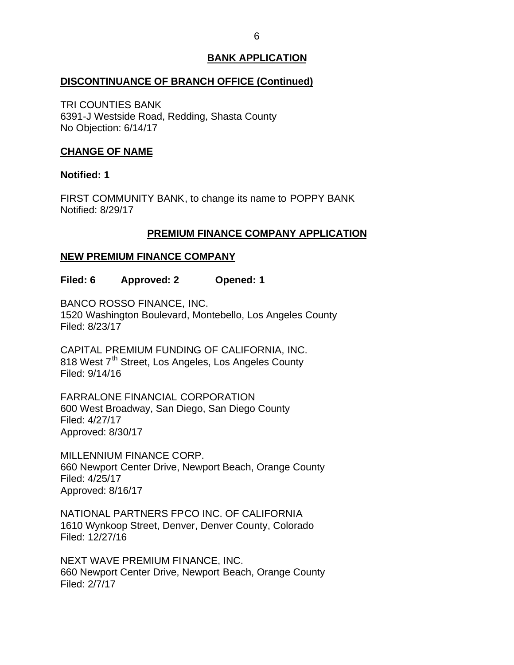## <span id="page-6-0"></span>**DISCONTINUANCE OF BRANCH OFFICE (Continued)**

 6391-J Westside Road, Redding, Shasta County No Objection: 6/14/17 TRI COUNTIES BANK

## **CHANGE OF NAME**

## **Notified: 1**

 FIRST COMMUNITY BANK, to change its name to POPPY BANK Notified: 8/29/17

# **PREMIUM FINANCE COMPANY APPLICATION**

# **NEW PREMIUM FINANCE COMPANY**

**Filed: 6 Approved: 2 Opened: 1** 

 BANCO ROSSO FINANCE, INC. 1520 Washington Boulevard, Montebello, Los Angeles County Filed: 8/23/17

 CAPITAL PREMIUM FUNDING OF CALIFORNIA, INC. 818 West 7<sup>th</sup> Street, Los Angeles, Los Angeles County Filed: 9/14/16

 600 West Broadway, San Diego, San Diego County FARRALONE FINANCIAL CORPORATION Filed: 4/27/17 Approved: 8/30/17

 MILLENNIUM FINANCE CORP. 660 Newport Center Drive, Newport Beach, Orange County Filed: 4/25/17 Approved: 8/16/17

 NATIONAL PARTNERS FPCO INC. OF CALIFORNIA 1610 Wynkoop Street, Denver, Denver County, Colorado Filed: 12/27/16

 NEXT WAVE PREMIUM FINANCE, INC. 660 Newport Center Drive, Newport Beach, Orange County Filed: 2/7/17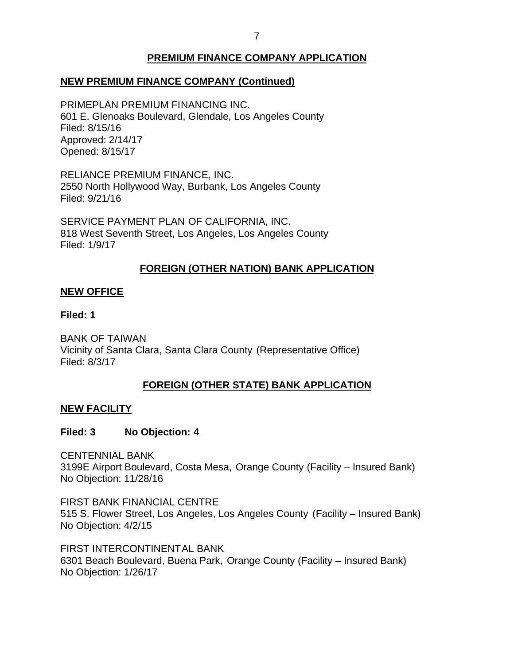# **PREMIUM FINANCE COMPANY APPLICATION**

# <span id="page-7-0"></span> **NEW PREMIUM FINANCE COMPANY (Continued)**

 601 E. Glenoaks Boulevard, Glendale, Los Angeles County PRIMEPLAN PREMIUM FINANCING INC. Filed: 8/15/16 Approved: 2/14/17 Opened: 8/15/17

 RELIANCE PREMIUM FINANCE, INC. 2550 North Hollywood Way, Burbank, Los Angeles County Filed: 9/21/16

 SERVICE PAYMENT PLAN OF CALIFORNIA, INC. 818 West Seventh Street, Los Angeles, Los Angeles County Filed: 1/9/17

# **FOREIGN (OTHER NATION) BANK APPLICATION**

## **NEW OFFICE**

## **Filed: 1**

 Vicinity of Santa Clara, Santa Clara County (Representative Office) BANK OF TAIWAN Filed: 8/3/17

# **FOREIGN (OTHER STATE) BANK APPLICATION**

## **NEW FACILITY**

# **Filed: 3 No Objection: 4**

 3199E Airport Boulevard, Costa Mesa, Orange County (Facility – Insured Bank) No Objection: 11/28/16 CENTENNIAL BANK

 FIRST BANK FINANCIAL CENTRE 515 S. Flower Street, Los Angeles, Los Angeles County (Facility – Insured Bank) No Objection: 4/2/15

 6301 Beach Boulevard, Buena Park, Orange County (Facility – Insured Bank) No Objection: 1/26/17 FIRST INTERCONTINENTAL BANK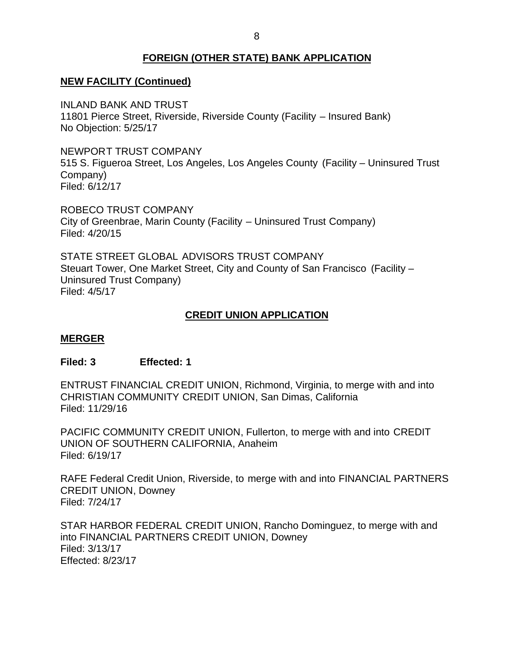# **FOREIGN (OTHER STATE) BANK APPLICATION**

# <span id="page-8-0"></span> **NEW FACILITY (Continued)**

 11801 Pierce Street, Riverside, Riverside County (Facility – Insured Bank) No Objection: 5/25/17 INLAND BANK AND TRUST

 NEWPORT TRUST COMPANY 515 S. Figueroa Street, Los Angeles, Los Angeles County (Facility – Uninsured Trust Company) Filed: 6/12/17

 ROBECO TRUST COMPANY City of Greenbrae, Marin County (Facility – Uninsured Trust Company) Filed: 4/20/15

 STATE STREET GLOBAL ADVISORS TRUST COMPANY Steuart Tower, One Market Street, City and County of San Francisco (Facility – Uninsured Trust Company) Filed: 4/5/17

# **CREDIT UNION APPLICATION**

## **MERGER**

## **Filed: 3 Effected: 1**

 ENTRUST FINANCIAL CREDIT UNION, Richmond, Virginia, to merge with and into CHRISTIAN COMMUNITY CREDIT UNION, San Dimas, California Filed: 11/29/16

 PACIFIC COMMUNITY CREDIT UNION, Fullerton, to merge with and into CREDIT UNION OF SOUTHERN CALIFORNIA, Anaheim Filed: 6/19/17

 RAFE Federal Credit Union, Riverside, to merge with and into FINANCIAL PARTNERS CREDIT UNION, Downey Filed: 7/24/17

 STAR HARBOR FEDERAL CREDIT UNION, Rancho Dominguez, to merge with and into FINANCIAL PARTNERS CREDIT UNION, Downey Filed: 3/13/17 Effected: 8/23/17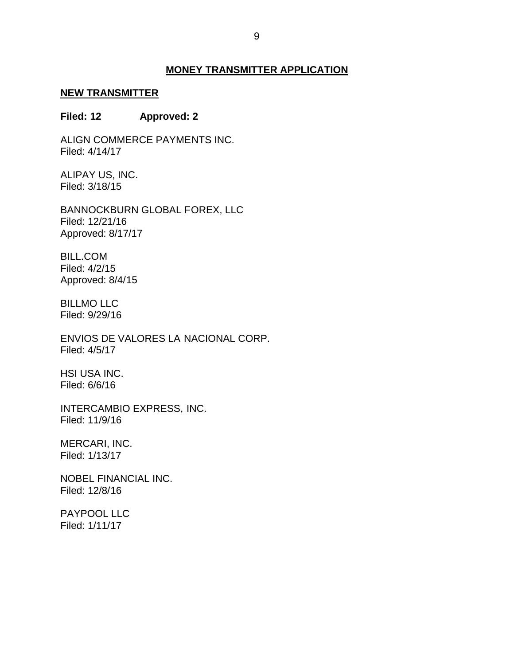## **MONEY TRANSMITTER APPLICATION**

#### <span id="page-9-0"></span>**NEW TRANSMITTER**

#### **Filed: 12 Approved: 2**

ALIGN COMMERCE PAYMENTS INC. Filed: 4/14/17

 ALIPAY US, INC. Filed: 3/18/15

BANNOCKBURN GLOBAL FOREX, LLC Filed: 12/21/16 Approved: 8/17/17

BILL.COM Filed: 4/2/15 Approved: 8/4/15

BILLMO LLC Filed: 9/29/16

 ENVIOS DE VALORES LA NACIONAL CORP. Filed: 4/5/17

HSI USA INC. Filed: 6/6/16

INTERCAMBIO EXPRESS, INC. Filed: 11/9/16

MERCARI, INC. Filed: 1/13/17

NOBEL FINANCIAL INC. Filed: 12/8/16

PAYPOOL LLC Filed: 1/11/17